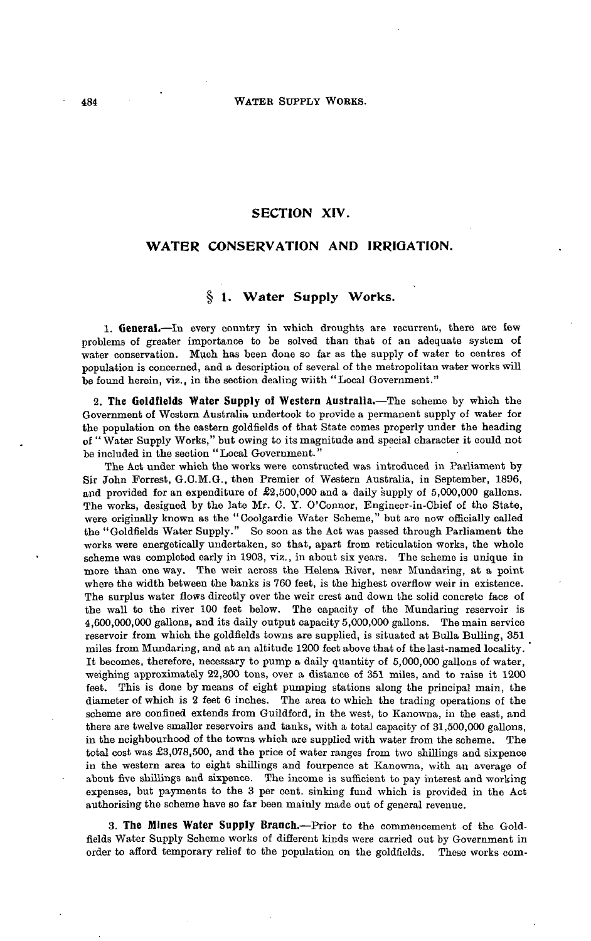## **SECTION XIV.**

## **WATER CONSERVATION AND IRRIGATION.**

# **§ 1. Water Supply Works.**

**1. General.**—In every country in which droughts are recurrent, there are few problems of greater importance to be solved than that of an adequate system of water conservation. Much has been done so far as the supply of water to centres of population is concerned, and a description of several of the metropolitan water works will be found herein, viz., in the section dealing wiith "Local Government."

**2. The Goldfields Water Supply of Western Australia.—**The scheme by which the Government of Western Australia undertook to provide a permanent supply of water for the population on the eastern goldfields of that State comes properly under the heading of " Water Supply Works," but owing to its magnitude and special character it could not be included in the section "Local Government."

The Act under which the works were constructed was introduced in Parliament by Sir John Forrest, G.C.M.G., then Premier of Western Australia, in September, 1896, and provided for an expenditure of £2,500,000 and a daily supply of 5,000,000 gallons. The works, designed by the late Mr. C. Y. O'Connor, Engineer-in-Chief of the State, were originally known as the "Coolgardie Water Scheme," but are now officially called the "Goldfields Water Supply." So soon as the Act was passed through Parliament the works were energetically undertaken, so that, apart from reticulation works, the whole scheme was completed early in 1903, viz., in about six years. The scheme is unique in more than one way. The weir across the Helena River, near Mundaring, at a point where the width between the banks is 760 feet, is the highest overflow weir in existence. The surplus water flows directly over the weir crest and down the solid concrete face of the wall to the river 100 feet below. The capacity of the Mundaring reservoir is 4,600,000,000 gallons, and its daily output capacity 5,000,000 gallons. The main service reservoir from which the goldfields towns are supplied, is situated at Bulla Bulling, 351 miles from Mundaring, and at an altitude 1200 feet above that of the last-named locality. It becomes, therefore, necessary to pump a daily quantity of 5,000,000 gallons of water, weighing approximately 22,300 tons, over a distance of 351 miles, and to raise it 1200 feet. This is done by means of eight pumping stations along the principal main, the diameter of which is 2 feet 6 inches. The area to which the trading operations of the scheme are confined extends from Guildford, in the west, to Kanowna, in the east, and there are twelve smaller reservoirs and tanks, with a total capacity of 31,500,000 gallons, in the neighbourhood of the towns which are supplied with water from the scheme. The total cost was £3,078,500, and the price of water ranges from two shillings and sixpence in the western area to eight shillings and fourpenee at Kanowna, with an average of about five shillings and sixpence. The income is sufficient to pay interest and working expenses, but payments to the 3 per cent, sinking fund which is provided in the Act authorising the scheme have so far been mainly made out of general revenue.

**3. The Mines Water Supply Branch.**—Prior to the commencement of the Goldfields Water Supply Scheme works of different kinds were carried out by Government in order to afford temporary relief to the population on the goldfields. These works com-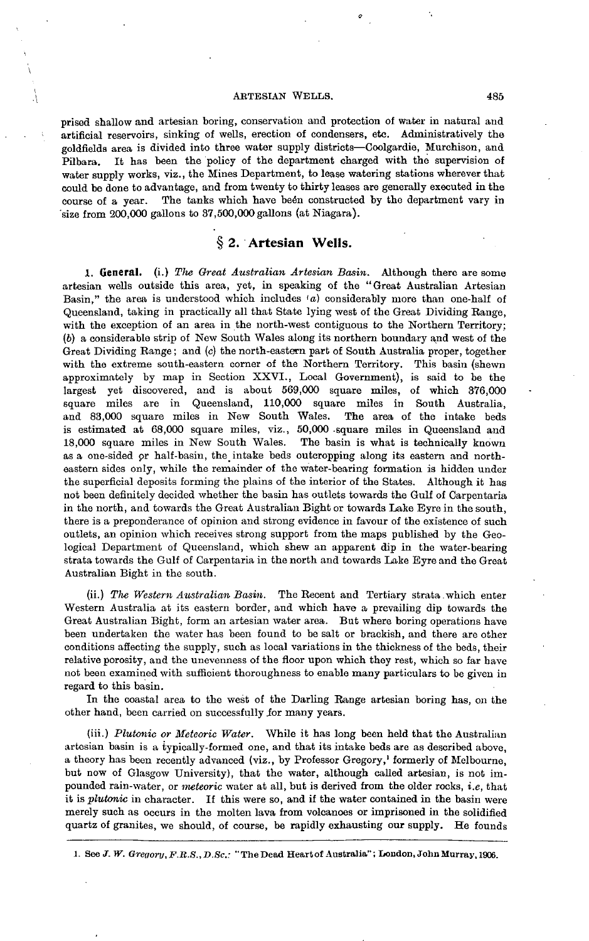#### ARTESIAN WELLS. 485

prised shallow and artesian boring, conservation and protection of water in natural and artificial reservoirs, sinking of wells, erection of condensers, etc. Administratively the goldfields area is divided into three water supply districts—Coolgardie, Murchison, and Pilbara. It has been the policy of the department charged with the supervision of water supply works, viz., the Mines Department, to lease watering stations wherever that could be done to advantage, and from twenty to thirty leases are generally executed in the course of a year. The tanks which have been constructed by the department vary in 'size from 200,000 gallons to 37,500,000 gallons (at Niagara).

# **§** *2.* **Artesian Wells.**

**1. General,** (i.) *The Great Australian Artesian Basin.* Although there are some artesian wells outside this area, yet, in speaking of the "Great Australian Artesian Basin," the area is understood which includes 'a) considerably more than one-half of Queensland, taking in practically all that State lying west of the Great Dividing Range, with the exception of an area in the north-west contiguous to the Northern Territory; (6) a considerable strip of New South Wales along its northern boundary and west of the Great Dividing Range; and *(c)* the north-eastern part of South Australia proper, together with the extreme south-eastern corner of the Northern Territory. This basin (shewn approximately by map in Section XXVI., Local Government), is said to be the largest yet discovered, and is about 569,000 square miles, of which 376,000 square miles are in Queensland, 110,000 square miles in South Australia, and 83,000 square miles in New South Wales. The area of the intake beds is estimated at 68,000 square miles, viz., 50,000 -square miles in Queensland and 18,000 square miles in New South Wales. The basin is what is technically known as a one-sided *or* half-basin, the intake beds outcropping along its eastern and northeastern sides only, while the remainder of the water-bearing formation is hidden under the superficial deposits forming the plains of the interior of the States. Although it has not been definitely decided whether the basin has outlets towards the Gulf of Carpentaria in the north, and towards the Great Australian Bight or towards Lake Eyre in the south, there is a preponderance of opinion and strong evidence in favour of the existence of such outlets, an opinion which receives strong support from the maps published by the Geological Department of Queensland, which shew an apparent dip in the water-bearing strata towards the Gulf of Carpentaria in the north and towards Lake Eyre and the Great Australian Bight in the south.

(ii.) *Flie Western Australian Basin.* The Recent and Tertiary strata.which enter Western Australia at its eastern border, and which have a prevailing dip towards the Great Australian Bight, form an artesian water area. But where boring operations have been undertaken the water has been found to be salt or brackish, and there are other conditions affecting the supply, such as local variations in the thickness of the beds, their relative porosity, and the unevenness of the floor upon which they rest, which so far have not been examined with sufficient thoroughness to enable many particulars to be given in regard to this basin.

In the coastal area to the west of the Darling Range artesian boring has, on the other hand, been carried on successfully for many years.

(iii.) *Plutonic or Meteoric Water.* While it has long been held that the Australian artesian basin is a typically-formed one, and that its intake beds are as described above, a theory has been recently advanced (viz., by Professor Gregory,' formerly of Melbourne, but now of Glasgow University), that the water, although called artesian, is not impounded rain-water, or *meteoric* water at all, but is derived from the older rocks, *i.e,* that it is *plutanic* in character. If this were so, and if the water contained in the basin were merely such as occurs in the molten lava from volcanoes or imprisoned in the solidified quartz of granites, we should, of course, be rapidly exhausting our supply. He founds

1. See *J. W. Gregory, F.R.S., D.Sc.:* "The Dead Heart of Australia"; London, John Murray, 1906.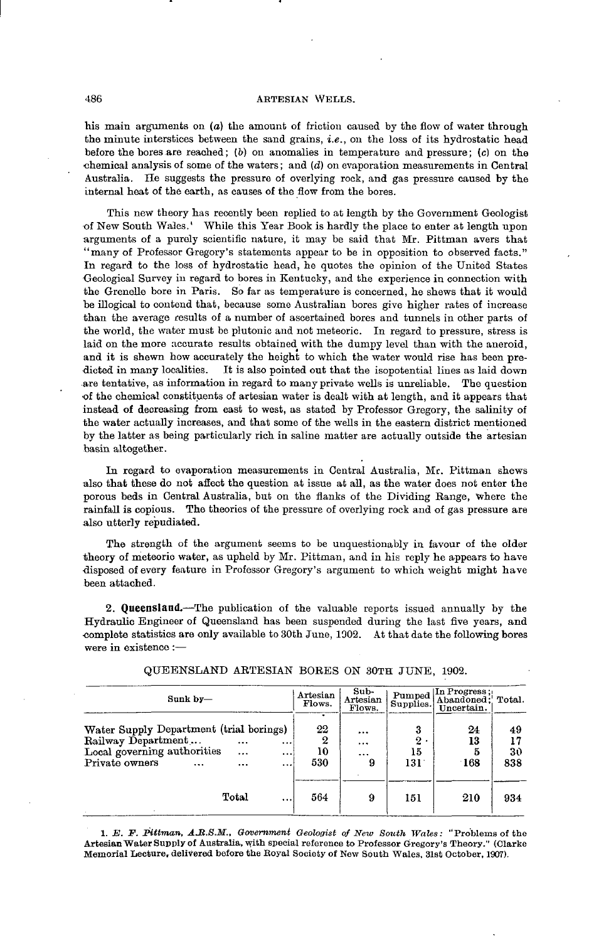#### 486 ABTBSIAN WELLS.

his main arguments on *(a)* the amount of friction caused by the flow of water through the minute interstices between the sand grains, *i.e.,* on the loss of its hydrostatic head before the bores are reached; *(b) on* anomalies in temperature and pressure; (c) on the •chemical analysis of some of the waters; and *(d)* on evaporation measurements in Central Australia. He suggests the pressure of overlying rock, and gas pressure caused by the internal heat of the earth, as causes of the flow from the bores.

This new theory has recently been replied to at length by the Government Geologist of New South Wales.' While this Year Book is hardly the place to enter at length upon arguments of a purely scientific nature, it may be said that Mr. Pittman avers that "many of Professor Gregory's statements appear to be in opposition to observed facts." In regard to the loss of hydrostatic head, he quotes the opinion of the United States Geological Survey in regard to bores in Kentucky, and the experience in connection with the Grenelle bore in Paris. So far as temperature is concerned, he shews that it would he illogical to contend that, because some Australian bores give higher rates of increase than the average results of a number of ascertained bores and tunnels in other parts of the world, the water must be plutonic and not meteoric. In regard to pressure, stress is laid on the more accurate results obtained with the dumpy level than with the aneroid, and it is shewn how accurately the height to which the water would rise has been predicted in many localities. It is also pointed out that the isopotential lines as laid down .are tentative, as information in regard to many private wells is unreliable. The question of the chemical constituents of artesian water is dealt with at length, and it appears that instead of decreasing from east to west, as stated by Professor Gregory, the salinity of the water actually increases, and that some of the wells in the eastern district mentioned by the latter as being particularly rich in saline matter are actually outside the artesian basin altogether.

In regard to evaporation measurements in Central Australia, Mr. Pittman shews also that these do not affect the question at issue at all, as the water does not enter the porous beds in Central Australia, but on the flanks of the Dividing Range, where the rainfall is copious. The theories of the pressure of overlying rock and of gas pressure are also utterly repudiated.

The strength of the argument seems to be unquestionably in favour of the older theory of meteoric water, as upheld by Mr. Pittman, and in his reply he appears to have disposed of every feature in Professor Gregory's argument to which weight might have been attached.

**2. Queensland.**—The publication of the valuable reports issued annually by the Hydraulic Engineer of Queensland has been suspended during the last five years, and •complete statistics are only available to 30th June, 1902. At that date the following bores were in existence :—

| $Sunk$ $by-$                                                                                                                                                                               | Artesian<br>Flows.        | Sub-<br>Artesian<br>Flows.    | Pumped<br>Supplies.                | In Progress;<br>Abandoned: Total.<br>Uncertain. |                       |
|--------------------------------------------------------------------------------------------------------------------------------------------------------------------------------------------|---------------------------|-------------------------------|------------------------------------|-------------------------------------------------|-----------------------|
| Water Supply Department (trial borings)<br>Railway Department<br>$\cdots$<br><br>Local governing authorities<br>$\cdots$<br>$\cdots$<br>Private owners<br>$\cdots$<br>$\cdots$<br>$\cdots$ | ٠<br>22<br>2<br>10<br>530 | <br>$\cdots$<br>$\cdots$<br>9 | 3<br>$\boldsymbol{2}$<br>15<br>131 | 24<br>13<br>5<br>$\cdot$ 168                    | 49<br>17<br>30<br>838 |
| Total<br>                                                                                                                                                                                  | 564                       | 9                             | 151                                | 210                                             | 934                   |

QUEENSLAND AETESIAN BORES ON 30TH JUNE, 1902.

1. E. F. Pittman, A.R.S.M., Government Geologist of New South Wales: "Problems of the Artesian Water Supply of Australia, with special reference to Professor Gregory's Theory." (Clarke Memorial Lecture, delivered before the Boyal Society of New South Wales, 31st October, 1907).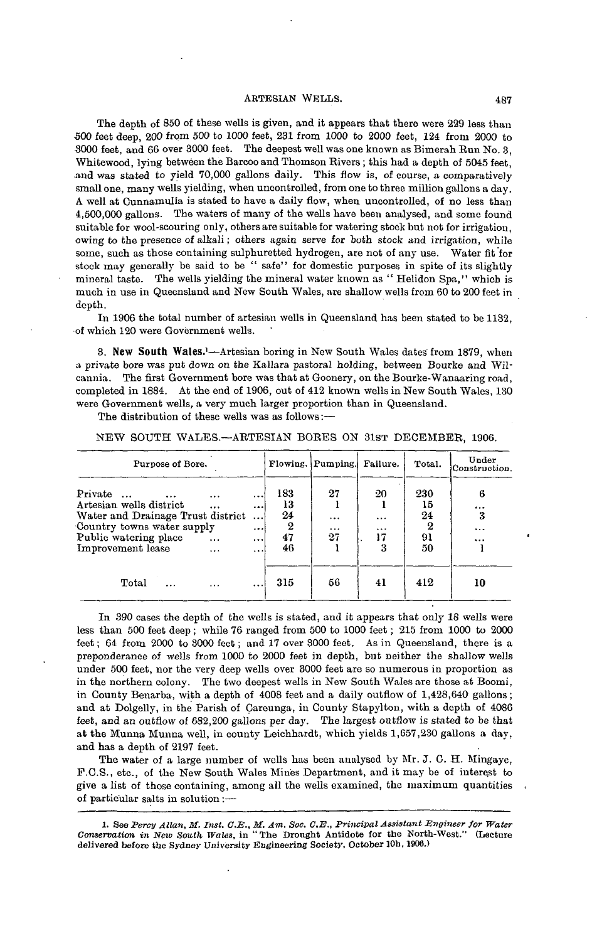#### ARTESIAN WELLS. 487

The depth of 850 of these wells is given, and it appears that there were 229 less than 500 feet deep, 200 from 500 to 1000 feet, 231 from 1000 to 2000 feet, 124 from 2000 to 3000 feet, and 66 over 3000 feet. The deepest well was one known as Bimerah Eun No. 3, Whitewood, lying between the Barcooand Thomson Rivers ; this had a depth of 5045 feet, and was stated to yield 70,000 gallons daily. This flow is, of course, a comparatively small one, many wells yielding, when uncontrolled, from one to three million gallons a day. A well at Cunnamulla is stated to have a daily flow, when uncontrolled, of no less than 4,500,000 gallons. The waters of many of the wells have been analysed, and some found suitable for wool-scouring only, others are suitable for watering stock but not for irrigation, owing to the presence of alkali; others again serve for both stock and irrigation, while some, such as those containing sulphuretted hydrogen, are not of any use. Water fit for stock may generally be said to be " safe'' for domestic purposes in spite of its slightly mineral taste. The wells yielding the mineral water known as " Helidon Spa," which is much in use in Queensland and New South Wales, are shallow wells from 60 to 200 feet in depth.

In 1906 the total number of artesian wells in Queensland has been stated to be 1132, of which 120 were Government wells.

**3. New South** Wales.<sup>1</sup>—Artesian boring in New South Wales dates from 1879, when a private bore was put down on the Kallara pastoral holding, between Bourke and Wilcannia. The first Government bore was that at Goonery, on the Bourke-Wanaaring road, completed in 1884. At the end of 1906, out of 412 known wells in New South Wales, 130 were Government wells, a very much larger proportion than in Queensland.

The distribution of these wells was as follows:—

#### NEW SOUTH WALES.—ARTESIAN BORES ON 31ST DECEMBER, 1906.

| Purpose of Bore.                                                                                                                                                |                                               |                                                                       |                                  | Flowing. Pumping.        | Failure.                              | Total.                           | Under<br>Construction.             |
|-----------------------------------------------------------------------------------------------------------------------------------------------------------------|-----------------------------------------------|-----------------------------------------------------------------------|----------------------------------|--------------------------|---------------------------------------|----------------------------------|------------------------------------|
| Private<br>$\cdots$<br>Artesian wells district<br>Water and Drainage Trust district<br>Country towns water supply<br>Public watering place<br>Improvement lease | $\cdots$<br>$\cdots$<br>$\cdots$<br>$\ddotsc$ | $\cdots$<br>$\cdots$<br>$\ddotsc$<br>$\cdots$<br>$\cdots$<br>$\cdots$ | 183<br>13<br>24<br>2<br>47<br>46 | 27<br>$\cdots$<br><br>27 | 20<br>$\cdots$<br>$\cdots$<br>17<br>3 | 230<br>15<br>24<br>2<br>91<br>50 | 6<br><br>3<br>$\cdots$<br>$\cdots$ |
| Total<br>.                                                                                                                                                      | $\cdots$                                      | $\cdots$                                                              | 315                              | 56                       | 41                                    | 412                              | 10                                 |

In 390 cases the depth of the wells is stated, and it appears that only 18 wells were less than 500 feet deep ; while 76 ranged from 500 to 1000 feet ; 215 from 1000 to 2000 feet; 64 from 2000 to 3000 feet; and 17 over 3000 feet. As in Queensland, there is a preponderance of wells from 1000 to 2000 feet in depth, but neither the shallow wells under 500 feet, nor the very deep wells over 3000 feet are so numerous in proportion as in the northern colony. The two deepest wells in New South Wales are those at Boomi, in County Benarba, with a depth of 4008 feet and a daily outflow of 1,428,640 gallons; and at Dolgelly, in the Parish of Careunga, in County Stapylton, with a depth of 4086 feet, and an outflow of 682,200 gallons per day. The largest outflow is stated to be that at the Munna Munna well, in county Leichhardt, which yields 1,657,230 gallons a day, and has a depth of 2197 feet.

The water of a large number of wells has been analysed by Mr. J. C. H. Mingaye, F.C.S., etc., of the New South Wales Mines Department, and it may be of interest to give a list of those containing, among all the wells examined, the maximum quantities of particular salts in solution :—

<sup>1.</sup> See *Percy Allan, M. Inst. C.E., M. Am. Soc. C.E., Principal Assistant Engineer for Water Conservation in New South Wales,* in "The Drought Antidote for the North-West." (Lecture delivered before the Sydney University Engineering Society, October 10h, 1906.)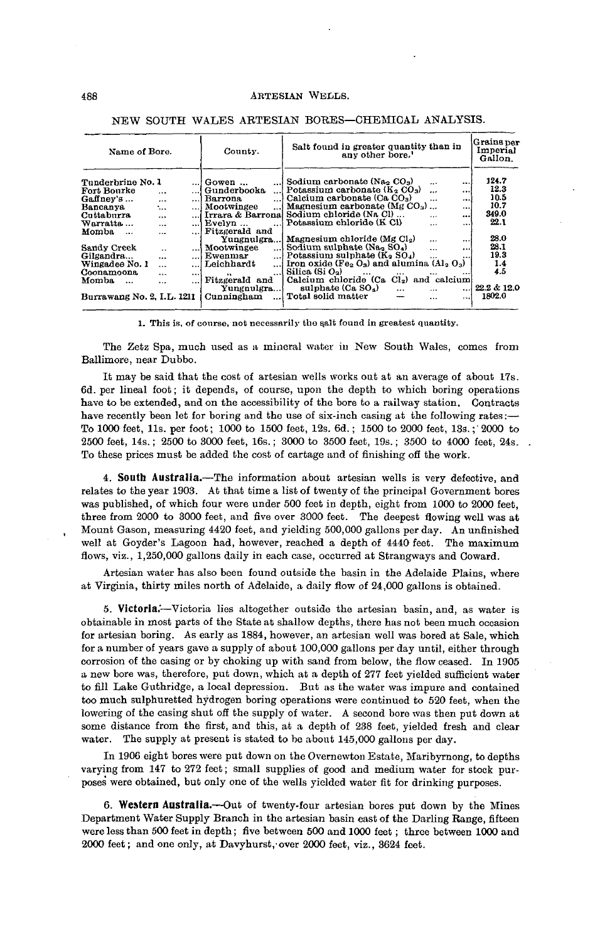| Name of Bore.                    |                      | County.  | Salt found in greater quantity than in<br>any other bore. <sup>1</sup> | Grains per<br>Imperial<br>Gallon.                                                       |                      |          |               |
|----------------------------------|----------------------|----------|------------------------------------------------------------------------|-----------------------------------------------------------------------------------------|----------------------|----------|---------------|
| Tunderbrine No. 1<br>Fort Bourke | $\cdots$             |          | $\ldots$ Gowen $\ldots$<br>Gunderbooka                                 | Sodium carbonate (Na <sub>2</sub> CO <sub>3</sub> )<br>Potassium carbonate $(K_2 CO_3)$ | $\cdots$<br>$\cdots$ | <br>     | 124.7<br>12.3 |
| Gaffney's                        | $\cdots$             | اءم      | <b>Barrona</b><br>$\cdots$                                             | Calcium carbonate (Ca CO <sub>3</sub> )                                                 | $\cdots$             | $\cdots$ | 10.5<br>10.7  |
| Bancanya                         | ٠                    |          | ! Mootwingee<br>!                                                      | Magnesium carbonate (Mg $CO3$ )                                                         |                      |          |               |
| Cuttaburra                       | $\cdots$             |          | Irrara & Barronal                                                      | Sodium chloride (Na Cl)                                                                 | $\cdots$             | $\cdots$ | 349.0         |
| Warratta <i>.</i>                | $\cdots$             |          | $k$ Evelyn                                                             | Potassium chloride (K Cl)                                                               | $\cdots$             | $\cdots$ | 22.1          |
| Momba<br>$\ddotsc$               | $\ddotsc$            | الدوه    | Fitzgerald and                                                         |                                                                                         |                      |          |               |
|                                  |                      |          | Yungnulgra                                                             | Magnesium chloride (Mg $Cl2$ )                                                          | $\sim$ $\sim$        |          | 28.0          |
| Sandy Creek                      | $\ddot{\phantom{0}}$ |          | Mootwingee<br>$\cdots$                                                 | Sodium sulphate $(Na2 SO4)$                                                             | $\ddotsc$            |          | 28.1          |
| Gilgandra                        | $\cdots$             | . 1      | Ewenmar<br>. 1                                                         | Potassium sulphate $(K_2 SO_4)$                                                         | $\cdots$             |          | 19.3          |
| Wingadee No. 1                   | $\cdots$             | $\cdots$ | Leichhardt                                                             | Iron oxide (Fe <sub>2</sub> $O_3$ ) and alumina $(AI_3 O_3)$                            |                      |          | 1.4           |
| Coonamoona                       | $\cdots$             | $\cdots$ | $\cdots$                                                               | Silica (Si $O_2$ )                                                                      | $\cdots$<br>         |          | 4.5           |
| Momba<br>$\ddotsc$               | $\cdots$             | $\cdots$ | $\bullet\bullet$<br>Fitzgerald and<br>Yungnulgra                       | Calcium chloride (Ca Cl <sub>2</sub> ) and calcium<br>sulphate (Ca SO <sub>4</sub> )    | $\cdots$<br>$\cdots$ |          | 22.2 & 12.0   |
| Burrawang No. 2, I.L. 1211       |                      |          | Cunningham                                                             | Total solid matter                                                                      | $\cdots$             |          | 1802.0        |

#### NEW SOUTH WALES AETESIAN BORES—CHEMICAL ANALYSIS.

**1. This is, of course, not necessarily the salt found in greatest quantity.** 

The Zetz Spa, much used as a mineral water in New South Wales, comes **from** Ballimore, near Dubbo.

It may be said that the cost of artesian wells works out at an average of about 17s. 6d. per lineal foot; it depends, of course, upon the depth to which boring operations have to be extended, and on the accessibility of the bore to a railway station. Contracts have recently been let for boring and the use of six-inch casing at the following rates:— To 1000 feet, lls. per foot; 1000 to 1500 feet, 12s. 6d.; 1500 to 2000 feet, 13s.;' 2000 to 2500 feet, 14s.; 2500 to 3000 feet, 16s.; 3000 to 3500 feet, 19s.; 3500 to 4000 feet, 24s. To these prices must be added the cost of cartage and of finishing off the work.

**4. South Australia.**—The information about artesian wells is very defective, and relates to the year 1903. At that time a list of twenty of the principal Government bores was published, of which four were under 500 feet in depth, eight from 1000 to 2000 feet, three from 2000 to 3000 feet, and five over 3000 feet. The deepest flowing well was at Mount Gason, measuring 4420 feet, and yielding 500,000 gallons per day. An unfinished well at Goyder's Lagoon had, however, reached a depth of 4440 feet. The maximum flows, viz., 1,250,000 gallons daily in each case, occurred at Strangways and Coward.

Artesian water has also been found outside the basin in the Adelaide Plains, where at Virginia, thirty miles north of Adelaide, a daily flow of 24,000 gallons is obtained.

**5. Victoria/**—Victoria lies altogether outside the artesian basin, and, as water is obtainable in most parts of the State at shallow depths, there has not been much occasion for artesian boring. As early as 1884, however, an artesian well was bored at Sale, which for a number of years gave a supply of about 100,000 gallons per day until, either through corrosion of the casing or by choking up with sand from below, the flow ceased. In 1905 a new bore was, therefore, put down, which at a depth of 277 feet yielded sufficient water to fill Lake Guthridge, a local depression. But as the water was impure and contained too much sulphuretted hydrogen boring operations were continued to 520 feet, when the lowering of the casing shut off the supply of water. A second bore was then put down at some distance from the first, and this, at a depth of 238 feet, yielded fresh and clear water. The supply at present is stated to be about 145,000 gallons per day.

In 1906 eight bores were put down on the Overnewton Estate, Maribyrnong, to depths varying from 147 to 272 feet; small supplies of good and medium water for stock purposes were obtained, but only one of the wells yielded water fit for drinking purposes.

**6. Western Australia.**—Out of twenty-four artesian bores put down by the Mines Department Water Supply Branch in the artesian basin east of the Darling Range, fifteen were less than 500 feet in depth; five between 500 and 1000 feet; three between 1000 and 2000 feet; and one only, at Davyhurst, over 2000 feet, viz., 3624 feet.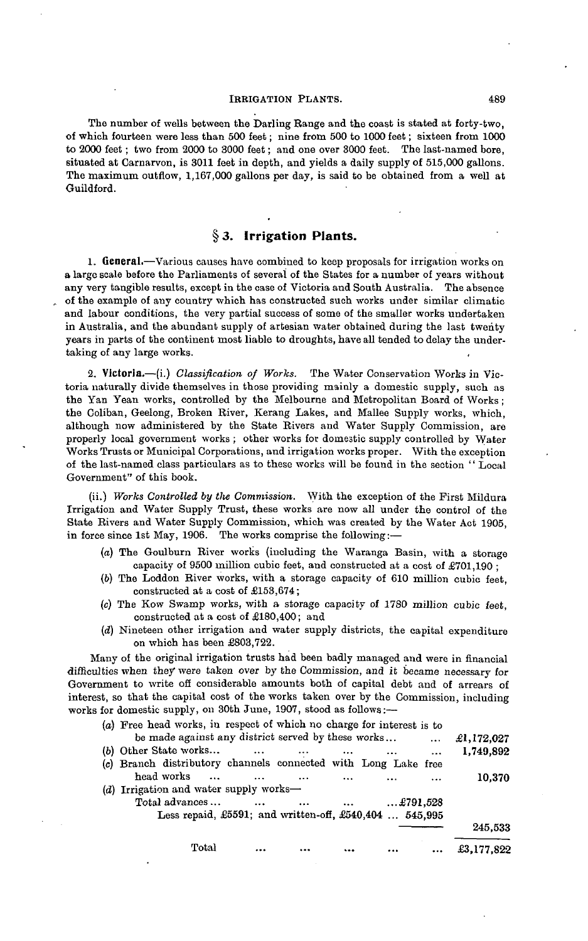#### IRRIGATION PLANTS. 489

The number of wells between the Darling Range and the coast is stated at forty-two, of which fourteen were less than 500 feet; nine from 500 to 1000 feet; sixteen from 1000 to 2000 feet; two from 2000 to 3000 feet; and one over 3000 feet. The last-named bore, situated at Carnarvon, is 3011 feet in depth, and yields a daily supply of 515,000 gallons. The maximum outflow, 1,167,000 gallons per day, is said to be obtained from a well at Guildford.

# **§ 3. Irrigation Plants.**

1. General.—Various causes have combined to keep proposals for irrigation works on a large scale before the Parliaments of several of the States for a number of years without any very tangible results, except in the case of Victoria and South Australia. The absence of the example of any country which has constructed such works under similar climatic and labour conditions, the very partial success of some of the smaller works undertaken in Australia, and the abundant supply of artesian water obtained during the last twenty years in parts of the continent most liable to droughts, have all tended to delay the undertaking of any large works.

2. Victoria.—(i.) *Classification of Works.* The Water Conservation Works in Victoria naturally divide themselves in those providing mainly a domestic supply, such as the Yan Yean works, controlled by the Melbourne and Metropolitan Board of Works; the Coliban, Geelong, Broken River, Kerang Lakes, and Mallee Supply works, which, although now administered by the State Rivers and Water Supply Commission, are properly local government works ; other works for domestic supply controlled by Water Works Trusts or Municipal Corporations, and irrigation works proper. With the exception of the last-named class particulars as to these works will be found in the section '' Local Government" of this book.

(ii.) *Works Controlled by tlie Commission.* With the exception of the First Mildura Irrigation and Water Supply Trust, these works are now all under the control of the State Rivers and Water Supply Commission, which was created by the Water Act 1905, in force since 1st May, 1906. The works comprise the following:—

- $(a)$  The Goulburn River works (including the Waranga Basin, with a storage capacity of 9500 million cubic feet, and constructed at a cost of £701,190 ;
- (6) The Loddon River works, with a storage capacity of 610 million cubic feet, constructed at a cost of £153,674;
- (c) The Kow Swamp works, with a storage capacity of 1780 million cubic feet, constructed at a cost of £180,400; and
- *(d)* Nineteen other irrigation and water supply districts, the capital expenditure on which has been £803,722.

Many of the original irrigation trusts had been badly managed and were in financial difficulties when they were taken over by the Commission, and it became necessary for Government to write off considerable amounts both of capital debt and of arrears of interest, so that the capital cost of the works taken over by the Commission, including works for domestic supply, on 30th June, 1907, stood as follows:—

| (a) Free head works, in respect of which no charge for interest is to |            |
|-----------------------------------------------------------------------|------------|
| be made against any district served by these works<br>$\cdots$        | £1,172,027 |
| (b) Other State works<br>$\cdots$<br>$\cdots$<br>$\cdots$<br>$\cdots$ | 1,749,892  |
| (c) Branch distributory channels connected with Long Lake free        |            |
| head works<br>$\ddotsc$                                               | 10,370     |
| (d) Irrigation and water supply works—                                |            |
| Total advances<br>$$ £791,528<br>$\cdots$<br>                         |            |
| Less repaid, £5591; and written-off, £540,404  545,995                |            |
|                                                                       | 245,533    |
| Total                                                                 | £3,177,822 |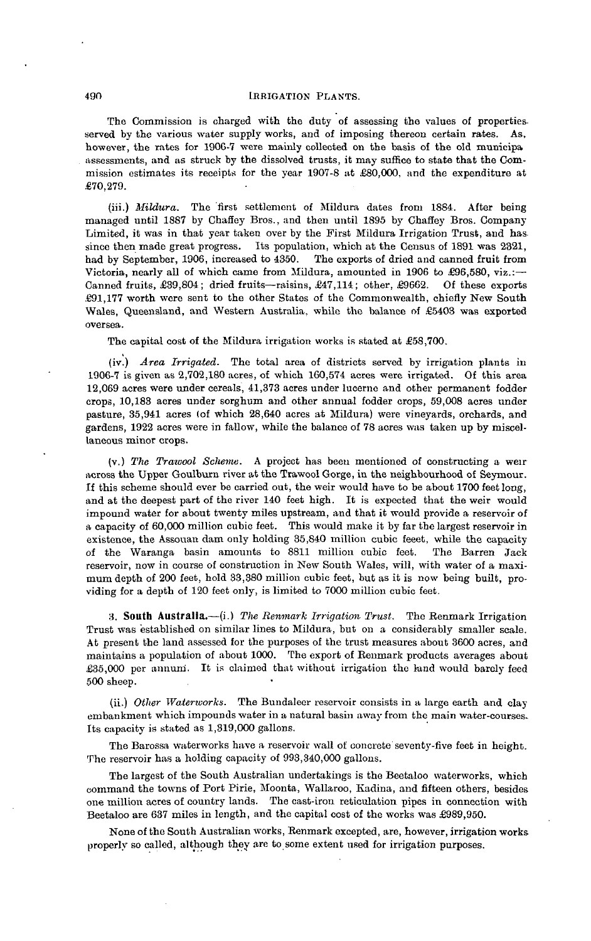### 490 IRRIGATION PLANTS.

The Commission is charged with the duty of assessing the values of properties. served by the various water supply works, and of imposing thereon certain rates. As. however, the rates for 1906-7 were mainly collected on the basis of the old municipa assessments, and as struck by the dissolved trusts, it may suffice to state that the Commission estimates its receipts for the year 1907-8 at £80,000, and the expenditure at £70,279.

(iii.) *Mildura.* The first settlement of Mildura dates from 1884. After being managed until 1887 by Charley Bros., and then until 1895 by Chafley Bros. Company Limited, it was in that year taken over by the First Mildura Irrigation Trust, and has since then made great progress. Its population, which at the Census of 1891 was 2321, had by September, 1906, increased to 4350. The exports of dried and canned fruit from had by September, 1906, increased to 4350. Victoria, nearly all of which came from Mildura, amounted in 1906 to £96,580, viz.:— Canned fruits, £39,804; dried fruits—raisins, £47,114; other, £9662. Of these exports £91,177 worth were sent to the other States of the Commonwealth, chiefly New South Wales, Queensland, and Western Australia, while the balance of £5403 was exported oversea.

The capital cost of the Mildura irrigation works is stated at £58,700.

(iv.) *Area Irrigated.* The total area of districts served by irrigation plants in 1906-7 is given as 2,702,180 acres, of which 160,574 acres were irrigated. Of this area 12,069 acres were under cereals, 41,373 acres under lucerne and other permanent fodder crops, 10,183 acres under sorghum and other annual fodder crops, 59,008 acres under pasture, 35,941 acres (of which 28,640 acres at Mildura) were vineyards, orchards, and gardens, 1922 acres were in fallow, while the balance of 78 acres was taken up by miscellaneous minor crops.

(v.) *The Trawool Scheme.* A project has beeu mentioned of constructing a weir across the Upper Goulburn river at the Trawool Gorge, in the neighbourhood of Seymour. If this scheme should ever be carried out, the weir would have to be about 1700 feet long, and at the deepest part of the river 140 feet high. It is expected that the weir would impound water for about twenty miles upstream, and that it would provide a reservoir of a capacity of 60,000 million cubic feet. This would make it by far the largest reservoir in existence, the Assouan dam only holding 35,840 million cubic feeet, while the capacity of the Waranga basin amounts to 8811 million cubic feet. The Barren Jack reservoir, now in course of construction in New South Wales, will, with water of a maximum depth of 200 feet, hold 33,380 million cubic feet, but as it is now being built, providing for a depth of 120 feet only, is limited to 7000 million cubic feet.

**8. South Australia.**—(i.) *The Renmark Irrigation Trust.* The Beumark Irrigation Trust was established on similar lines to Mildura, but on a considerably smaller scale. At present the land assessed for the purposes of the trust measures about 3600 acres, and maintains a population of about 1000. The export of Reumark products averages about £35,000 per annum. It is claimed that without irrigation the hind would barely feed 500 sheep.

(ii.) *Other Waterworks.* The Bundaleer reservoir consists in a large earth and clay embankment which impounds water in a natural basin away from the main water-courses. Its capacity is stated as 1,319,000 gallons.

The Barossa waterworks have a reservoir wall of concrete seventy-five feet in height. The reservoir has a holding capacity of 993,340,000 gallons.

The largest of the South Australian undertakings is the Beetaloo waterworks, which command the towns of Port Pirie, Moonta, Wallaroo, Kadina, and fifteen others, besides one million acres of country lands. The cast-iron reticulation pipes in connection with Beetaloo are 637 miles in length, and the capital cost of the works was £989,950.

None of the South Australian works, Benmark excepted, are, however, irrigation works properly so called, although they are to some extent used for irrigation purposes.